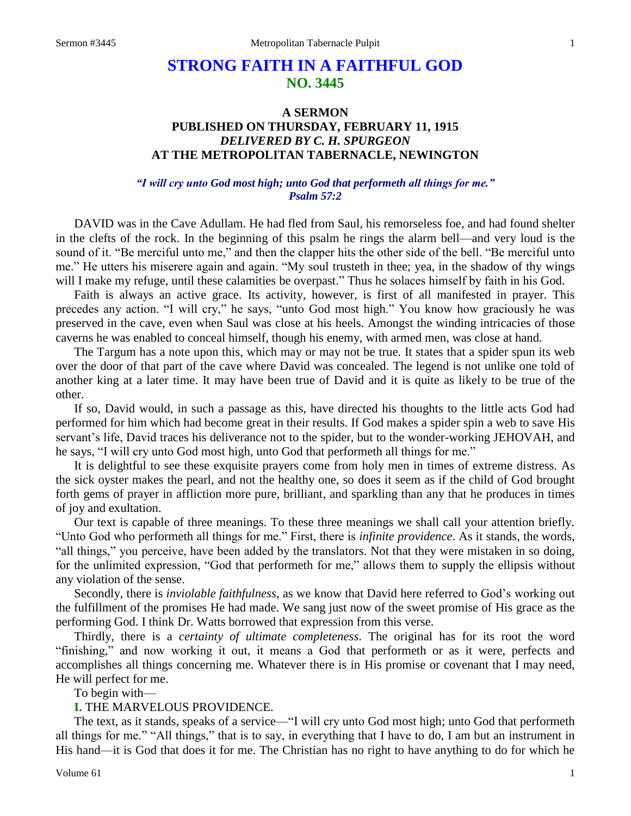# **STRONG FAITH IN A FAITHFUL GOD NO. 3445**

# **A SERMON PUBLISHED ON THURSDAY, FEBRUARY 11, 1915** *DELIVERED BY C. H. SPURGEON* **AT THE METROPOLITAN TABERNACLE, NEWINGTON**

# *"I will cry unto God most high; unto God that performeth all things for me." Psalm 57:2*

DAVID was in the Cave Adullam. He had fled from Saul, his remorseless foe, and had found shelter in the clefts of the rock. In the beginning of this psalm he rings the alarm bell—and very loud is the sound of it. "Be merciful unto me," and then the clapper hits the other side of the bell. "Be merciful unto me." He utters his miserere again and again. "My soul trusteth in thee; yea, in the shadow of thy wings will I make my refuge, until these calamities be overpast." Thus he solaces himself by faith in his God.

Faith is always an active grace. Its activity, however, is first of all manifested in prayer. This precedes any action. "I will cry," he says, "unto God most high." You know how graciously he was preserved in the cave, even when Saul was close at his heels. Amongst the winding intricacies of those caverns he was enabled to conceal himself, though his enemy, with armed men, was close at hand.

The Targum has a note upon this, which may or may not be true. It states that a spider spun its web over the door of that part of the cave where David was concealed. The legend is not unlike one told of another king at a later time. It may have been true of David and it is quite as likely to be true of the other.

If so, David would, in such a passage as this, have directed his thoughts to the little acts God had performed for him which had become great in their results. If God makes a spider spin a web to save His servant's life, David traces his deliverance not to the spider, but to the wonder-working JEHOVAH, and he says, "I will cry unto God most high, unto God that performeth all things for me."

It is delightful to see these exquisite prayers come from holy men in times of extreme distress. As the sick oyster makes the pearl, and not the healthy one, so does it seem as if the child of God brought forth gems of prayer in affliction more pure, brilliant, and sparkling than any that he produces in times of joy and exultation.

Our text is capable of three meanings. To these three meanings we shall call your attention briefly. "Unto God who performeth all things for me." First, there is *infinite providence*. As it stands, the words, "all things," you perceive, have been added by the translators. Not that they were mistaken in so doing, for the unlimited expression, "God that performeth for me," allows them to supply the ellipsis without any violation of the sense.

Secondly, there is *inviolable faithfulness*, as we know that David here referred to God's working out the fulfillment of the promises He had made. We sang just now of the sweet promise of His grace as the performing God. I think Dr. Watts borrowed that expression from this verse.

Thirdly, there is a *certainty of ultimate completeness*. The original has for its root the word "finishing," and now working it out, it means a God that performeth or as it were, perfects and accomplishes all things concerning me. Whatever there is in His promise or covenant that I may need, He will perfect for me.

To begin with—

#### **I.** THE MARVELOUS PROVIDENCE.

The text, as it stands, speaks of a service—"I will cry unto God most high; unto God that performeth all things for me." "All things," that is to say, in everything that I have to do, I am but an instrument in His hand—it is God that does it for me. The Christian has no right to have anything to do for which he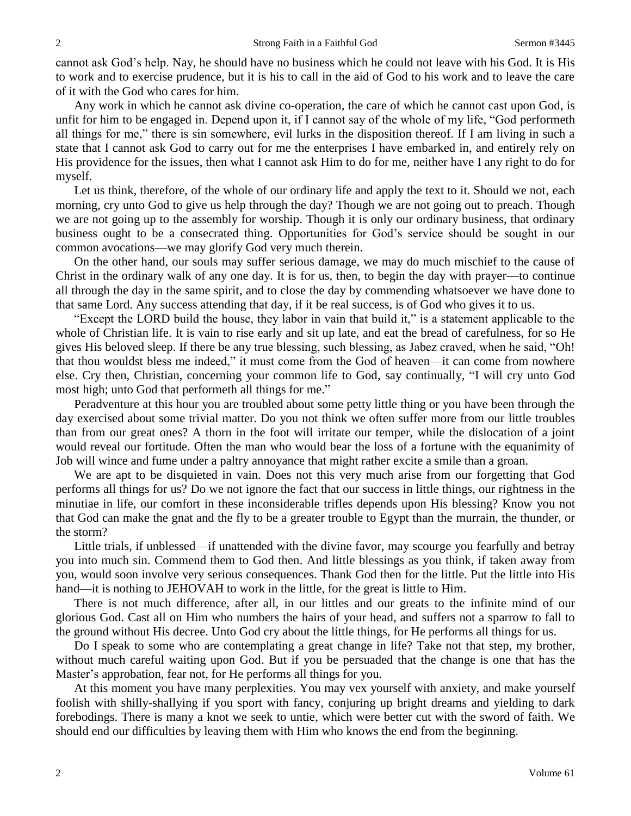cannot ask God's help. Nay, he should have no business which he could not leave with his God. It is His to work and to exercise prudence, but it is his to call in the aid of God to his work and to leave the care of it with the God who cares for him.

Any work in which he cannot ask divine co-operation, the care of which he cannot cast upon God, is unfit for him to be engaged in. Depend upon it, if I cannot say of the whole of my life, "God performeth all things for me," there is sin somewhere, evil lurks in the disposition thereof. If I am living in such a state that I cannot ask God to carry out for me the enterprises I have embarked in, and entirely rely on His providence for the issues, then what I cannot ask Him to do for me, neither have I any right to do for myself.

Let us think, therefore, of the whole of our ordinary life and apply the text to it. Should we not, each morning, cry unto God to give us help through the day? Though we are not going out to preach. Though we are not going up to the assembly for worship. Though it is only our ordinary business, that ordinary business ought to be a consecrated thing. Opportunities for God's service should be sought in our common avocations—we may glorify God very much therein.

On the other hand, our souls may suffer serious damage, we may do much mischief to the cause of Christ in the ordinary walk of any one day. It is for us, then, to begin the day with prayer—to continue all through the day in the same spirit, and to close the day by commending whatsoever we have done to that same Lord. Any success attending that day, if it be real success, is of God who gives it to us.

"Except the LORD build the house, they labor in vain that build it," is a statement applicable to the whole of Christian life. It is vain to rise early and sit up late, and eat the bread of carefulness, for so He gives His beloved sleep. If there be any true blessing, such blessing, as Jabez craved, when he said, "Oh! that thou wouldst bless me indeed," it must come from the God of heaven—it can come from nowhere else. Cry then, Christian, concerning your common life to God, say continually, "I will cry unto God most high; unto God that performeth all things for me."

Peradventure at this hour you are troubled about some petty little thing or you have been through the day exercised about some trivial matter. Do you not think we often suffer more from our little troubles than from our great ones? A thorn in the foot will irritate our temper, while the dislocation of a joint would reveal our fortitude. Often the man who would bear the loss of a fortune with the equanimity of Job will wince and fume under a paltry annoyance that might rather excite a smile than a groan.

We are apt to be disquieted in vain. Does not this very much arise from our forgetting that God performs all things for us? Do we not ignore the fact that our success in little things, our rightness in the minutiae in life, our comfort in these inconsiderable trifles depends upon His blessing? Know you not that God can make the gnat and the fly to be a greater trouble to Egypt than the murrain, the thunder, or the storm?

Little trials, if unblessed—if unattended with the divine favor, may scourge you fearfully and betray you into much sin. Commend them to God then. And little blessings as you think, if taken away from you, would soon involve very serious consequences. Thank God then for the little. Put the little into His hand—it is nothing to JEHOVAH to work in the little, for the great is little to Him.

There is not much difference, after all, in our littles and our greats to the infinite mind of our glorious God. Cast all on Him who numbers the hairs of your head, and suffers not a sparrow to fall to the ground without His decree. Unto God cry about the little things, for He performs all things for us.

Do I speak to some who are contemplating a great change in life? Take not that step, my brother, without much careful waiting upon God. But if you be persuaded that the change is one that has the Master's approbation, fear not, for He performs all things for you.

At this moment you have many perplexities. You may vex yourself with anxiety, and make yourself foolish with shilly-shallying if you sport with fancy, conjuring up bright dreams and yielding to dark forebodings. There is many a knot we seek to untie, which were better cut with the sword of faith. We should end our difficulties by leaving them with Him who knows the end from the beginning.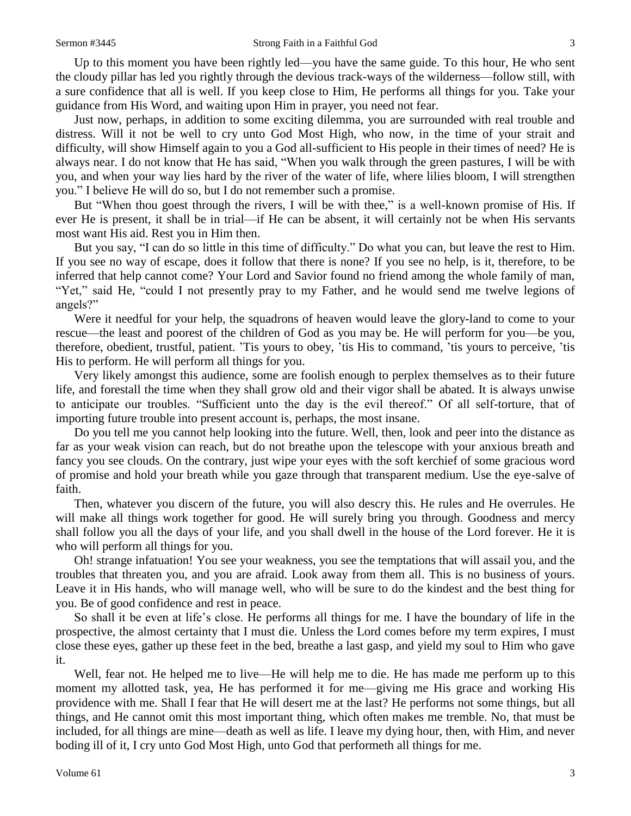Up to this moment you have been rightly led—you have the same guide. To this hour, He who sent the cloudy pillar has led you rightly through the devious track-ways of the wilderness—follow still, with a sure confidence that all is well. If you keep close to Him, He performs all things for you. Take your guidance from His Word, and waiting upon Him in prayer, you need not fear.

Just now, perhaps, in addition to some exciting dilemma, you are surrounded with real trouble and distress. Will it not be well to cry unto God Most High, who now, in the time of your strait and difficulty, will show Himself again to you a God all-sufficient to His people in their times of need? He is always near. I do not know that He has said, "When you walk through the green pastures, I will be with you, and when your way lies hard by the river of the water of life, where lilies bloom, I will strengthen you." I believe He will do so, but I do not remember such a promise.

But "When thou goest through the rivers, I will be with thee," is a well-known promise of His. If ever He is present, it shall be in trial—if He can be absent, it will certainly not be when His servants most want His aid. Rest you in Him then.

But you say, "I can do so little in this time of difficulty." Do what you can, but leave the rest to Him. If you see no way of escape, does it follow that there is none? If you see no help, is it, therefore, to be inferred that help cannot come? Your Lord and Savior found no friend among the whole family of man, "Yet," said He, "could I not presently pray to my Father, and he would send me twelve legions of angels?"

Were it needful for your help, the squadrons of heaven would leave the glory-land to come to your rescue—the least and poorest of the children of God as you may be. He will perform for you—be you, therefore, obedient, trustful, patient. 'Tis yours to obey, 'tis His to command, 'tis yours to perceive, 'tis His to perform. He will perform all things for you.

Very likely amongst this audience, some are foolish enough to perplex themselves as to their future life, and forestall the time when they shall grow old and their vigor shall be abated. It is always unwise to anticipate our troubles. "Sufficient unto the day is the evil thereof." Of all self-torture, that of importing future trouble into present account is, perhaps, the most insane.

Do you tell me you cannot help looking into the future. Well, then, look and peer into the distance as far as your weak vision can reach, but do not breathe upon the telescope with your anxious breath and fancy you see clouds. On the contrary, just wipe your eyes with the soft kerchief of some gracious word of promise and hold your breath while you gaze through that transparent medium. Use the eye-salve of faith.

Then, whatever you discern of the future, you will also descry this. He rules and He overrules. He will make all things work together for good. He will surely bring you through. Goodness and mercy shall follow you all the days of your life, and you shall dwell in the house of the Lord forever. He it is who will perform all things for you.

Oh! strange infatuation! You see your weakness, you see the temptations that will assail you, and the troubles that threaten you, and you are afraid. Look away from them all. This is no business of yours. Leave it in His hands, who will manage well, who will be sure to do the kindest and the best thing for you. Be of good confidence and rest in peace.

So shall it be even at life's close. He performs all things for me. I have the boundary of life in the prospective, the almost certainty that I must die. Unless the Lord comes before my term expires, I must close these eyes, gather up these feet in the bed, breathe a last gasp, and yield my soul to Him who gave it.

Well, fear not. He helped me to live—He will help me to die. He has made me perform up to this moment my allotted task, yea, He has performed it for me—giving me His grace and working His providence with me. Shall I fear that He will desert me at the last? He performs not some things, but all things, and He cannot omit this most important thing, which often makes me tremble. No, that must be included, for all things are mine—death as well as life. I leave my dying hour, then, with Him, and never boding ill of it, I cry unto God Most High, unto God that performeth all things for me.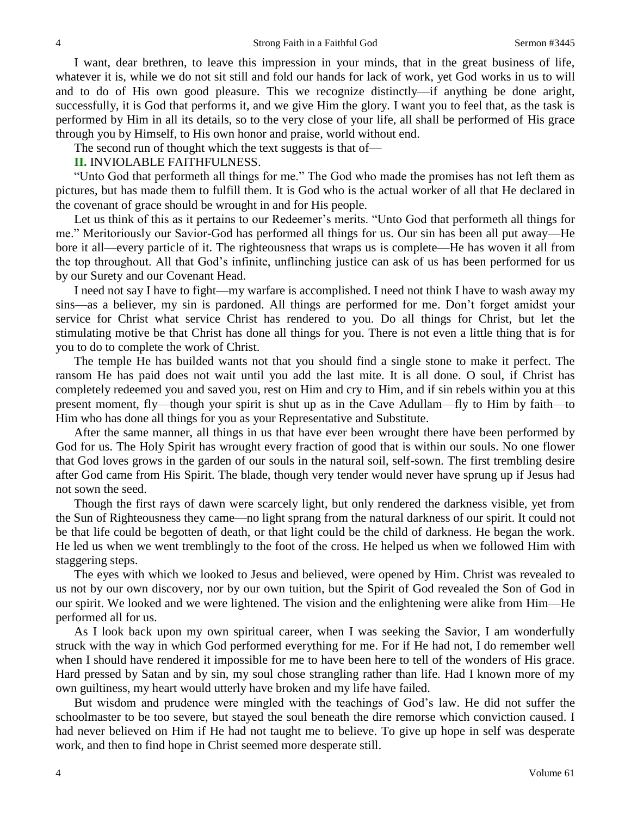I want, dear brethren, to leave this impression in your minds, that in the great business of life, whatever it is, while we do not sit still and fold our hands for lack of work, yet God works in us to will and to do of His own good pleasure. This we recognize distinctly—if anything be done aright, successfully, it is God that performs it, and we give Him the glory. I want you to feel that, as the task is performed by Him in all its details, so to the very close of your life, all shall be performed of His grace through you by Himself, to His own honor and praise, world without end.

The second run of thought which the text suggests is that of—

# **II.** INVIOLABLE FAITHFULNESS.

"Unto God that performeth all things for me." The God who made the promises has not left them as pictures, but has made them to fulfill them. It is God who is the actual worker of all that He declared in the covenant of grace should be wrought in and for His people.

Let us think of this as it pertains to our Redeemer's merits. "Unto God that performeth all things for me." Meritoriously our Savior-God has performed all things for us. Our sin has been all put away—He bore it all—every particle of it. The righteousness that wraps us is complete—He has woven it all from the top throughout. All that God's infinite, unflinching justice can ask of us has been performed for us by our Surety and our Covenant Head.

I need not say I have to fight—my warfare is accomplished. I need not think I have to wash away my sins—as a believer, my sin is pardoned. All things are performed for me. Don't forget amidst your service for Christ what service Christ has rendered to you. Do all things for Christ, but let the stimulating motive be that Christ has done all things for you. There is not even a little thing that is for you to do to complete the work of Christ.

The temple He has builded wants not that you should find a single stone to make it perfect. The ransom He has paid does not wait until you add the last mite. It is all done. O soul, if Christ has completely redeemed you and saved you, rest on Him and cry to Him, and if sin rebels within you at this present moment, fly—though your spirit is shut up as in the Cave Adullam—fly to Him by faith—to Him who has done all things for you as your Representative and Substitute.

After the same manner, all things in us that have ever been wrought there have been performed by God for us. The Holy Spirit has wrought every fraction of good that is within our souls. No one flower that God loves grows in the garden of our souls in the natural soil, self-sown. The first trembling desire after God came from His Spirit. The blade, though very tender would never have sprung up if Jesus had not sown the seed.

Though the first rays of dawn were scarcely light, but only rendered the darkness visible, yet from the Sun of Righteousness they came—no light sprang from the natural darkness of our spirit. It could not be that life could be begotten of death, or that light could be the child of darkness. He began the work. He led us when we went tremblingly to the foot of the cross. He helped us when we followed Him with staggering steps.

The eyes with which we looked to Jesus and believed, were opened by Him. Christ was revealed to us not by our own discovery, nor by our own tuition, but the Spirit of God revealed the Son of God in our spirit. We looked and we were lightened. The vision and the enlightening were alike from Him—He performed all for us.

As I look back upon my own spiritual career, when I was seeking the Savior, I am wonderfully struck with the way in which God performed everything for me. For if He had not, I do remember well when I should have rendered it impossible for me to have been here to tell of the wonders of His grace. Hard pressed by Satan and by sin, my soul chose strangling rather than life. Had I known more of my own guiltiness, my heart would utterly have broken and my life have failed.

But wisdom and prudence were mingled with the teachings of God's law. He did not suffer the schoolmaster to be too severe, but stayed the soul beneath the dire remorse which conviction caused. I had never believed on Him if He had not taught me to believe. To give up hope in self was desperate work, and then to find hope in Christ seemed more desperate still.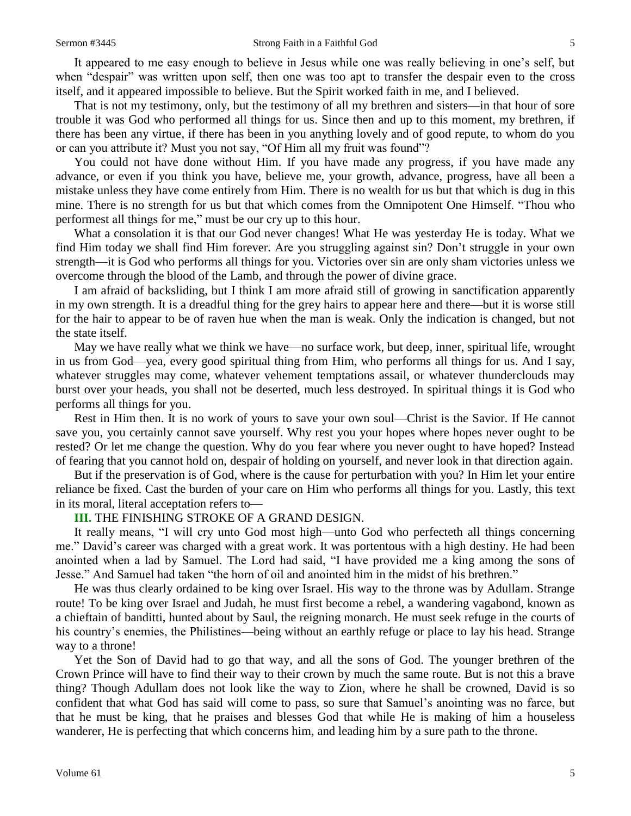It appeared to me easy enough to believe in Jesus while one was really believing in one's self, but when "despair" was written upon self, then one was too apt to transfer the despair even to the cross itself, and it appeared impossible to believe. But the Spirit worked faith in me, and I believed.

That is not my testimony, only, but the testimony of all my brethren and sisters—in that hour of sore trouble it was God who performed all things for us. Since then and up to this moment, my brethren, if there has been any virtue, if there has been in you anything lovely and of good repute, to whom do you or can you attribute it? Must you not say, "Of Him all my fruit was found"?

You could not have done without Him. If you have made any progress, if you have made any advance, or even if you think you have, believe me, your growth, advance, progress, have all been a mistake unless they have come entirely from Him. There is no wealth for us but that which is dug in this mine. There is no strength for us but that which comes from the Omnipotent One Himself. "Thou who performest all things for me," must be our cry up to this hour.

What a consolation it is that our God never changes! What He was yesterday He is today. What we find Him today we shall find Him forever. Are you struggling against sin? Don't struggle in your own strength—it is God who performs all things for you. Victories over sin are only sham victories unless we overcome through the blood of the Lamb, and through the power of divine grace.

I am afraid of backsliding, but I think I am more afraid still of growing in sanctification apparently in my own strength. It is a dreadful thing for the grey hairs to appear here and there—but it is worse still for the hair to appear to be of raven hue when the man is weak. Only the indication is changed, but not the state itself.

May we have really what we think we have—no surface work, but deep, inner, spiritual life, wrought in us from God—yea, every good spiritual thing from Him, who performs all things for us. And I say, whatever struggles may come, whatever vehement temptations assail, or whatever thunderclouds may burst over your heads, you shall not be deserted, much less destroyed. In spiritual things it is God who performs all things for you.

Rest in Him then. It is no work of yours to save your own soul—Christ is the Savior. If He cannot save you, you certainly cannot save yourself. Why rest you your hopes where hopes never ought to be rested? Or let me change the question. Why do you fear where you never ought to have hoped? Instead of fearing that you cannot hold on, despair of holding on yourself, and never look in that direction again.

But if the preservation is of God, where is the cause for perturbation with you? In Him let your entire reliance be fixed. Cast the burden of your care on Him who performs all things for you. Lastly, this text in its moral, literal acceptation refers to—

## **III.** THE FINISHING STROKE OF A GRAND DESIGN.

It really means, "I will cry unto God most high—unto God who perfecteth all things concerning me." David's career was charged with a great work. It was portentous with a high destiny. He had been anointed when a lad by Samuel. The Lord had said, "I have provided me a king among the sons of Jesse." And Samuel had taken "the horn of oil and anointed him in the midst of his brethren."

He was thus clearly ordained to be king over Israel. His way to the throne was by Adullam. Strange route! To be king over Israel and Judah, he must first become a rebel, a wandering vagabond, known as a chieftain of banditti, hunted about by Saul, the reigning monarch. He must seek refuge in the courts of his country's enemies, the Philistines—being without an earthly refuge or place to lay his head. Strange way to a throne!

Yet the Son of David had to go that way, and all the sons of God. The younger brethren of the Crown Prince will have to find their way to their crown by much the same route. But is not this a brave thing? Though Adullam does not look like the way to Zion, where he shall be crowned, David is so confident that what God has said will come to pass, so sure that Samuel's anointing was no farce, but that he must be king, that he praises and blesses God that while He is making of him a houseless wanderer, He is perfecting that which concerns him, and leading him by a sure path to the throne.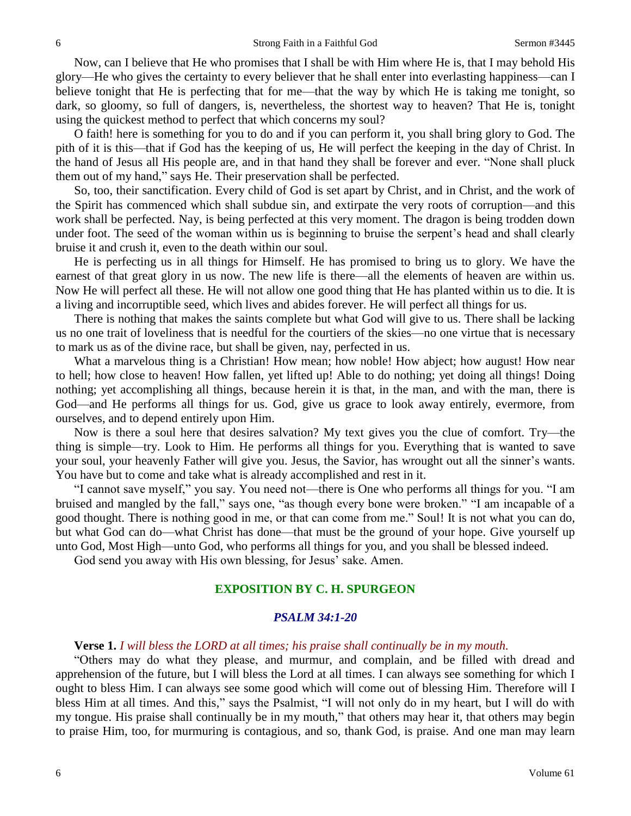Now, can I believe that He who promises that I shall be with Him where He is, that I may behold His glory—He who gives the certainty to every believer that he shall enter into everlasting happiness—can I believe tonight that He is perfecting that for me—that the way by which He is taking me tonight, so dark, so gloomy, so full of dangers, is, nevertheless, the shortest way to heaven? That He is, tonight using the quickest method to perfect that which concerns my soul?

O faith! here is something for you to do and if you can perform it, you shall bring glory to God. The pith of it is this—that if God has the keeping of us, He will perfect the keeping in the day of Christ. In the hand of Jesus all His people are, and in that hand they shall be forever and ever. "None shall pluck them out of my hand," says He. Their preservation shall be perfected.

So, too, their sanctification. Every child of God is set apart by Christ, and in Christ, and the work of the Spirit has commenced which shall subdue sin, and extirpate the very roots of corruption—and this work shall be perfected. Nay, is being perfected at this very moment. The dragon is being trodden down under foot. The seed of the woman within us is beginning to bruise the serpent's head and shall clearly bruise it and crush it, even to the death within our soul.

He is perfecting us in all things for Himself. He has promised to bring us to glory. We have the earnest of that great glory in us now. The new life is there—all the elements of heaven are within us. Now He will perfect all these. He will not allow one good thing that He has planted within us to die. It is a living and incorruptible seed, which lives and abides forever. He will perfect all things for us.

There is nothing that makes the saints complete but what God will give to us. There shall be lacking us no one trait of loveliness that is needful for the courtiers of the skies—no one virtue that is necessary to mark us as of the divine race, but shall be given, nay, perfected in us.

What a marvelous thing is a Christian! How mean; how noble! How abject; how august! How near to hell; how close to heaven! How fallen, yet lifted up! Able to do nothing; yet doing all things! Doing nothing; yet accomplishing all things, because herein it is that, in the man, and with the man, there is God—and He performs all things for us. God, give us grace to look away entirely, evermore, from ourselves, and to depend entirely upon Him.

Now is there a soul here that desires salvation? My text gives you the clue of comfort. Try—the thing is simple—try. Look to Him. He performs all things for you. Everything that is wanted to save your soul, your heavenly Father will give you. Jesus, the Savior, has wrought out all the sinner's wants. You have but to come and take what is already accomplished and rest in it.

"I cannot save myself," you say. You need not—there is One who performs all things for you. "I am bruised and mangled by the fall," says one, "as though every bone were broken." "I am incapable of a good thought. There is nothing good in me, or that can come from me." Soul! It is not what you can do, but what God can do—what Christ has done—that must be the ground of your hope. Give yourself up unto God, Most High—unto God, who performs all things for you, and you shall be blessed indeed.

God send you away with His own blessing, for Jesus' sake. Amen.

#### **EXPOSITION BY C. H. SPURGEON**

### *PSALM 34:1-20*

**Verse 1.** *I will bless the LORD at all times; his praise shall continually be in my mouth.* 

"Others may do what they please, and murmur, and complain, and be filled with dread and apprehension of the future, but I will bless the Lord at all times. I can always see something for which I ought to bless Him. I can always see some good which will come out of blessing Him. Therefore will I bless Him at all times. And this," says the Psalmist, "I will not only do in my heart, but I will do with my tongue. His praise shall continually be in my mouth," that others may hear it, that others may begin to praise Him, too, for murmuring is contagious, and so, thank God, is praise. And one man may learn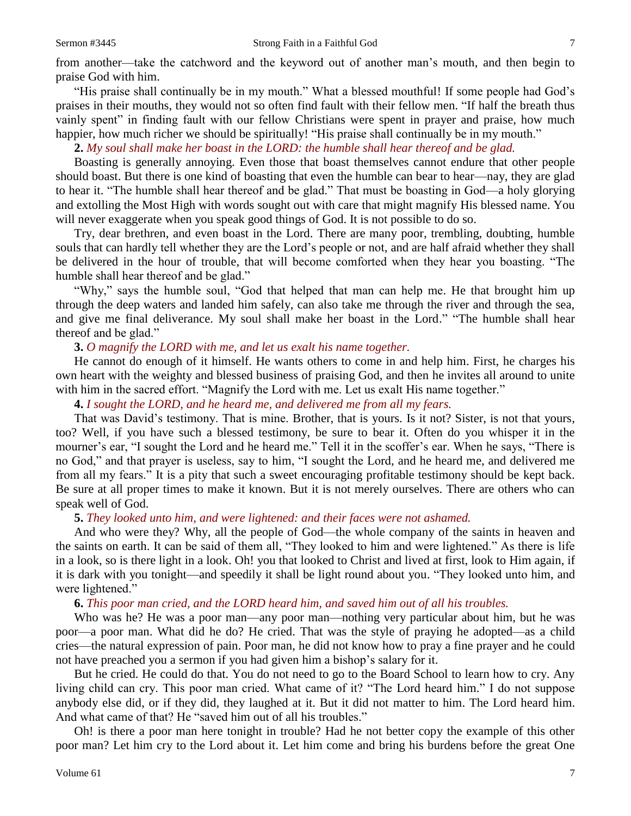from another—take the catchword and the keyword out of another man's mouth, and then begin to praise God with him.

"His praise shall continually be in my mouth." What a blessed mouthful! If some people had God's praises in their mouths, they would not so often find fault with their fellow men. "If half the breath thus vainly spent" in finding fault with our fellow Christians were spent in prayer and praise, how much happier, how much richer we should be spiritually! "His praise shall continually be in my mouth."

# **2.** *My soul shall make her boast in the LORD: the humble shall hear thereof and be glad.*

Boasting is generally annoying. Even those that boast themselves cannot endure that other people should boast. But there is one kind of boasting that even the humble can bear to hear—nay, they are glad to hear it. "The humble shall hear thereof and be glad." That must be boasting in God—a holy glorying and extolling the Most High with words sought out with care that might magnify His blessed name. You will never exaggerate when you speak good things of God. It is not possible to do so.

Try, dear brethren, and even boast in the Lord. There are many poor, trembling, doubting, humble souls that can hardly tell whether they are the Lord's people or not, and are half afraid whether they shall be delivered in the hour of trouble, that will become comforted when they hear you boasting. "The humble shall hear thereof and be glad."

"Why," says the humble soul, "God that helped that man can help me. He that brought him up through the deep waters and landed him safely, can also take me through the river and through the sea, and give me final deliverance. My soul shall make her boast in the Lord." "The humble shall hear thereof and be glad."

# **3.** *O magnify the LORD with me, and let us exalt his name together.*

He cannot do enough of it himself. He wants others to come in and help him. First, he charges his own heart with the weighty and blessed business of praising God, and then he invites all around to unite with him in the sacred effort. "Magnify the Lord with me. Let us exalt His name together."

#### **4.** *I sought the LORD, and he heard me, and delivered me from all my fears.*

That was David's testimony. That is mine. Brother, that is yours. Is it not? Sister, is not that yours, too? Well, if you have such a blessed testimony, be sure to bear it. Often do you whisper it in the mourner's ear, "I sought the Lord and he heard me." Tell it in the scoffer's ear. When he says, "There is no God," and that prayer is useless, say to him, "I sought the Lord, and he heard me, and delivered me from all my fears." It is a pity that such a sweet encouraging profitable testimony should be kept back. Be sure at all proper times to make it known. But it is not merely ourselves. There are others who can speak well of God.

# **5.** *They looked unto him, and were lightened: and their faces were not ashamed.*

And who were they? Why, all the people of God—the whole company of the saints in heaven and the saints on earth. It can be said of them all, "They looked to him and were lightened." As there is life in a look, so is there light in a look. Oh! you that looked to Christ and lived at first, look to Him again, if it is dark with you tonight—and speedily it shall be light round about you. "They looked unto him, and were lightened."

#### **6.** *This poor man cried, and the LORD heard him, and saved him out of all his troubles.*

Who was he? He was a poor man—any poor man—nothing very particular about him, but he was poor—a poor man. What did he do? He cried. That was the style of praying he adopted—as a child cries—the natural expression of pain. Poor man, he did not know how to pray a fine prayer and he could not have preached you a sermon if you had given him a bishop's salary for it.

But he cried. He could do that. You do not need to go to the Board School to learn how to cry. Any living child can cry. This poor man cried. What came of it? "The Lord heard him." I do not suppose anybody else did, or if they did, they laughed at it. But it did not matter to him. The Lord heard him. And what came of that? He "saved him out of all his troubles."

Oh! is there a poor man here tonight in trouble? Had he not better copy the example of this other poor man? Let him cry to the Lord about it. Let him come and bring his burdens before the great One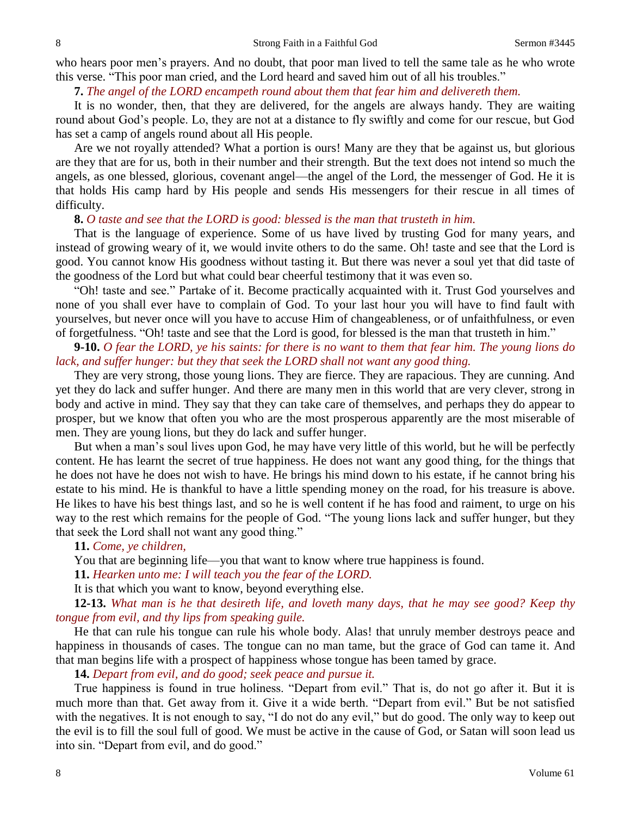who hears poor men's prayers. And no doubt, that poor man lived to tell the same tale as he who wrote this verse. "This poor man cried, and the Lord heard and saved him out of all his troubles."

# **7.** *The angel of the LORD encampeth round about them that fear him and delivereth them.*

It is no wonder, then, that they are delivered, for the angels are always handy. They are waiting round about God's people. Lo, they are not at a distance to fly swiftly and come for our rescue, but God has set a camp of angels round about all His people.

Are we not royally attended? What a portion is ours! Many are they that be against us, but glorious are they that are for us, both in their number and their strength. But the text does not intend so much the angels, as one blessed, glorious, covenant angel—the angel of the Lord, the messenger of God. He it is that holds His camp hard by His people and sends His messengers for their rescue in all times of difficulty.

#### **8.** *O taste and see that the LORD is good: blessed is the man that trusteth in him.*

That is the language of experience. Some of us have lived by trusting God for many years, and instead of growing weary of it, we would invite others to do the same. Oh! taste and see that the Lord is good. You cannot know His goodness without tasting it. But there was never a soul yet that did taste of the goodness of the Lord but what could bear cheerful testimony that it was even so.

"Oh! taste and see." Partake of it. Become practically acquainted with it. Trust God yourselves and none of you shall ever have to complain of God. To your last hour you will have to find fault with yourselves, but never once will you have to accuse Him of changeableness, or of unfaithfulness, or even of forgetfulness. "Oh! taste and see that the Lord is good, for blessed is the man that trusteth in him."

**9-10.** *O fear the LORD, ye his saints: for there is no want to them that fear him. The young lions do lack, and suffer hunger: but they that seek the LORD shall not want any good thing.* 

They are very strong, those young lions. They are fierce. They are rapacious. They are cunning. And yet they do lack and suffer hunger. And there are many men in this world that are very clever, strong in body and active in mind. They say that they can take care of themselves, and perhaps they do appear to prosper, but we know that often you who are the most prosperous apparently are the most miserable of men. They are young lions, but they do lack and suffer hunger.

But when a man's soul lives upon God, he may have very little of this world, but he will be perfectly content. He has learnt the secret of true happiness. He does not want any good thing, for the things that he does not have he does not wish to have. He brings his mind down to his estate, if he cannot bring his estate to his mind. He is thankful to have a little spending money on the road, for his treasure is above. He likes to have his best things last, and so he is well content if he has food and raiment, to urge on his way to the rest which remains for the people of God. "The young lions lack and suffer hunger, but they that seek the Lord shall not want any good thing."

### **11.** *Come, ye children,*

You that are beginning life—you that want to know where true happiness is found.

**11.** *Hearken unto me: I will teach you the fear of the LORD.* 

It is that which you want to know, beyond everything else.

**12-13.** *What man is he that desireth life, and loveth many days, that he may see good? Keep thy tongue from evil, and thy lips from speaking guile.* 

He that can rule his tongue can rule his whole body. Alas! that unruly member destroys peace and happiness in thousands of cases. The tongue can no man tame, but the grace of God can tame it. And that man begins life with a prospect of happiness whose tongue has been tamed by grace.

**14.** *Depart from evil, and do good; seek peace and pursue it.* 

True happiness is found in true holiness. "Depart from evil." That is, do not go after it. But it is much more than that. Get away from it. Give it a wide berth. "Depart from evil." But be not satisfied with the negatives. It is not enough to say, "I do not do any evil," but do good. The only way to keep out the evil is to fill the soul full of good. We must be active in the cause of God, or Satan will soon lead us into sin. "Depart from evil, and do good."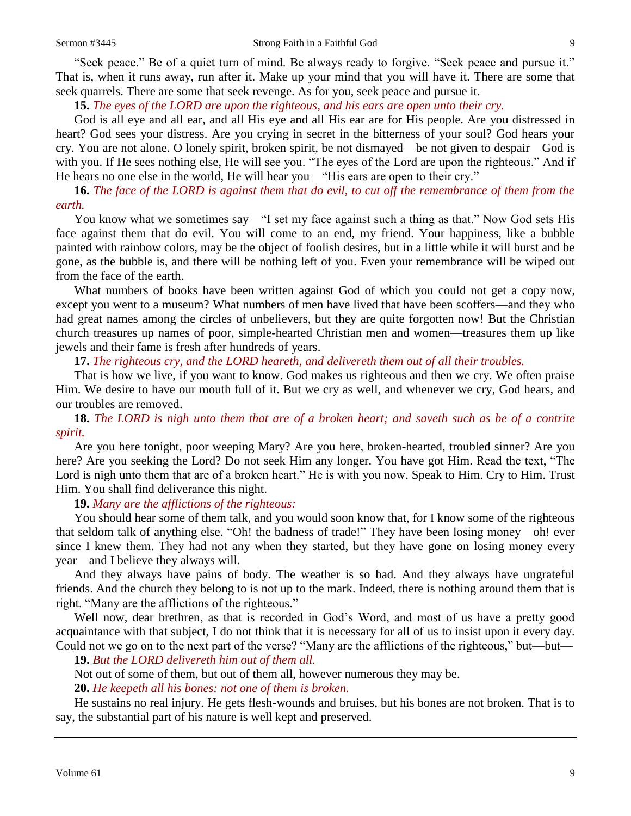"Seek peace." Be of a quiet turn of mind. Be always ready to forgive. "Seek peace and pursue it." That is, when it runs away, run after it. Make up your mind that you will have it. There are some that seek quarrels. There are some that seek revenge. As for you, seek peace and pursue it.

#### **15.** *The eyes of the LORD are upon the righteous, and his ears are open unto their cry.*

God is all eye and all ear, and all His eye and all His ear are for His people. Are you distressed in heart? God sees your distress. Are you crying in secret in the bitterness of your soul? God hears your cry. You are not alone. O lonely spirit, broken spirit, be not dismayed—be not given to despair—God is with you. If He sees nothing else, He will see you. "The eyes of the Lord are upon the righteous." And if He hears no one else in the world, He will hear you—"His ears are open to their cry."

# **16.** *The face of the LORD is against them that do evil, to cut off the remembrance of them from the earth.*

You know what we sometimes say—"I set my face against such a thing as that." Now God sets His face against them that do evil. You will come to an end, my friend. Your happiness, like a bubble painted with rainbow colors, may be the object of foolish desires, but in a little while it will burst and be gone, as the bubble is, and there will be nothing left of you. Even your remembrance will be wiped out from the face of the earth.

What numbers of books have been written against God of which you could not get a copy now, except you went to a museum? What numbers of men have lived that have been scoffers—and they who had great names among the circles of unbelievers, but they are quite forgotten now! But the Christian church treasures up names of poor, simple-hearted Christian men and women—treasures them up like jewels and their fame is fresh after hundreds of years.

### **17.** *The righteous cry, and the LORD heareth, and delivereth them out of all their troubles.*

That is how we live, if you want to know. God makes us righteous and then we cry. We often praise Him. We desire to have our mouth full of it. But we cry as well, and whenever we cry, God hears*,* and our troubles are removed.

# **18.** *The LORD is nigh unto them that are of a broken heart; and saveth such as be of a contrite spirit.*

Are you here tonight, poor weeping Mary? Are you here, broken-hearted, troubled sinner? Are you here? Are you seeking the Lord? Do not seek Him any longer. You have got Him. Read the text, "The Lord is nigh unto them that are of a broken heart." He is with you now. Speak to Him. Cry to Him. Trust Him. You shall find deliverance this night.

# **19.** *Many are the afflictions of the righteous:*

You should hear some of them talk, and you would soon know that, for I know some of the righteous that seldom talk of anything else. "Oh! the badness of trade!" They have been losing money—oh! ever since I knew them. They had not any when they started, but they have gone on losing money every year—and I believe they always will.

And they always have pains of body. The weather is so bad. And they always have ungrateful friends. And the church they belong to is not up to the mark. Indeed, there is nothing around them that is right. "Many are the afflictions of the righteous."

Well now, dear brethren, as that is recorded in God's Word, and most of us have a pretty good acquaintance with that subject, I do not think that it is necessary for all of us to insist upon it every day. Could not we go on to the next part of the verse? "Many are the afflictions of the righteous," but—but—

**19.** *But the LORD delivereth him out of them all.*

Not out of some of them, but out of them all, however numerous they may be.

**20.** *He keepeth all his bones: not one of them is broken.* 

He sustains no real injury. He gets flesh-wounds and bruises, but his bones are not broken. That is to say, the substantial part of his nature is well kept and preserved.